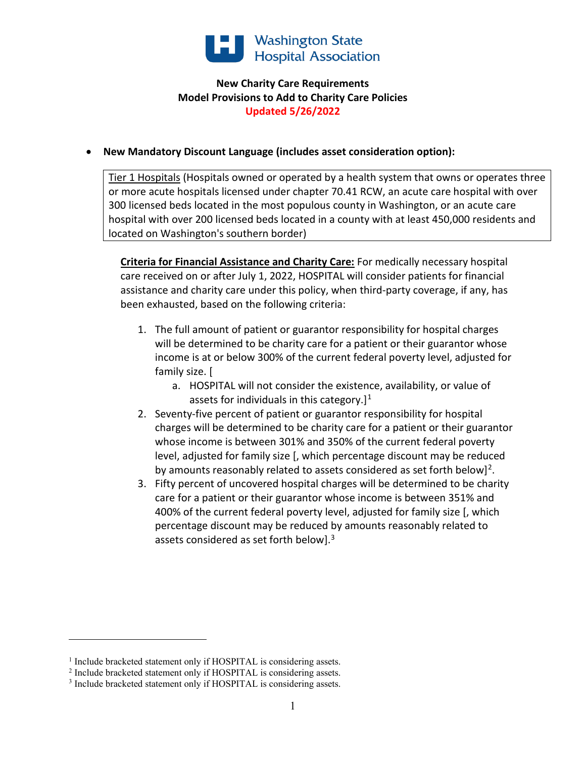

## **New Charity Care Requirements Model Provisions to Add to Charity Care Policies Updated 5/26/2022**

## • **New Mandatory Discount Language (includes asset consideration option):**

Tier 1 Hospitals (Hospitals owned or operated by a health system that owns or operates three or more acute hospitals licensed under chapter 70.41 RCW, an acute care hospital with over 300 licensed beds located in the most populous county in Washington, or an acute care hospital with over 200 licensed beds located in a county with at least 450,000 residents and located on Washington's southern border)

**Criteria for Financial Assistance and Charity Care:** For medically necessary hospital care received on or after July 1, 2022, HOSPITAL will consider patients for financial assistance and charity care under this policy, when third-party coverage, if any, has been exhausted, based on the following criteria:

- 1. The full amount of patient or guarantor responsibility for hospital charges will be determined to be charity care for a patient or their guarantor whose income is at or below 300% of the current federal poverty level, adjusted for family size. [
	- a. HOSPITAL will not consider the existence, availability, or value of assets for individuals in this category.] $<sup>1</sup>$  $<sup>1</sup>$  $<sup>1</sup>$ </sup>
- 2. Seventy-five percent of patient or guarantor responsibility for hospital charges will be determined to be charity care for a patient or their guarantor whose income is between 301% and 350% of the current federal poverty level, adjusted for family size [, which percentage discount may be reduced by amounts reasonably related to assets considered as set forth below]<sup>[2](#page-0-1)</sup>.
- 3. Fifty percent of uncovered hospital charges will be determined to be charity care for a patient or their guarantor whose income is between 351% and 400% of the current federal poverty level, adjusted for family size [, which percentage discount may be reduced by amounts reasonably related to assets considered as set forth below].<sup>[3](#page-0-2)</sup>

<span id="page-0-0"></span><sup>&</sup>lt;sup>1</sup> Include bracketed statement only if HOSPITAL is considering assets.

<span id="page-0-1"></span><sup>&</sup>lt;sup>2</sup> Include bracketed statement only if HOSPITAL is considering assets.

<span id="page-0-2"></span><sup>&</sup>lt;sup>3</sup> Include bracketed statement only if HOSPITAL is considering assets.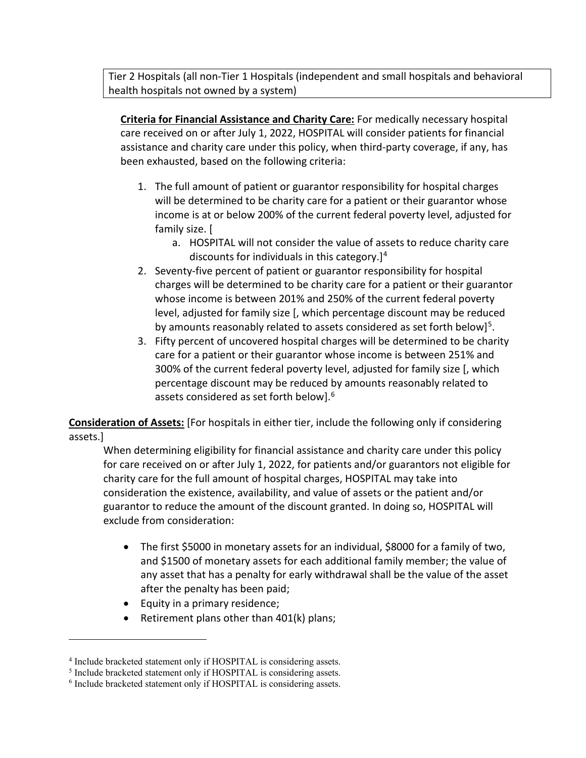Tier 2 Hospitals (all non-Tier 1 Hospitals (independent and small hospitals and behavioral health hospitals not owned by a system)

**Criteria for Financial Assistance and Charity Care:** For medically necessary hospital care received on or after July 1, 2022, HOSPITAL will consider patients for financial assistance and charity care under this policy, when third-party coverage, if any, has been exhausted, based on the following criteria:

- 1. The full amount of patient or guarantor responsibility for hospital charges will be determined to be charity care for a patient or their guarantor whose income is at or below 200% of the current federal poverty level, adjusted for family size. [
	- a. HOSPITAL will not consider the value of assets to reduce charity care discounts for individuals in this category.] $4$
- 2. Seventy-five percent of patient or guarantor responsibility for hospital charges will be determined to be charity care for a patient or their guarantor whose income is between 201% and 250% of the current federal poverty level, adjusted for family size [, which percentage discount may be reduced by amounts reasonably related to assets considered as set forth below<sup>1[5](#page-1-1)</sup>.
- 3. Fifty percent of uncovered hospital charges will be determined to be charity care for a patient or their guarantor whose income is between 251% and 300% of the current federal poverty level, adjusted for family size [, which percentage discount may be reduced by amounts reasonably related to assets considered as set forth below].[6](#page-1-2)

**Consideration of Assets:** [For hospitals in either tier, include the following only if considering assets.]

When determining eligibility for financial assistance and charity care under this policy for care received on or after July 1, 2022, for patients and/or guarantors not eligible for charity care for the full amount of hospital charges, HOSPITAL may take into consideration the existence, availability, and value of assets or the patient and/or guarantor to reduce the amount of the discount granted. In doing so, HOSPITAL will exclude from consideration:

- The first \$5000 in monetary assets for an individual, \$8000 for a family of two, and \$1500 of monetary assets for each additional family member; the value of any asset that has a penalty for early withdrawal shall be the value of the asset after the penalty has been paid;
- Equity in a primary residence;
- Retirement plans other than 401(k) plans;

<span id="page-1-0"></span><sup>4</sup> Include bracketed statement only if HOSPITAL is considering assets.

<span id="page-1-1"></span><sup>5</sup> Include bracketed statement only if HOSPITAL is considering assets.

<span id="page-1-2"></span><sup>6</sup> Include bracketed statement only if HOSPITAL is considering assets.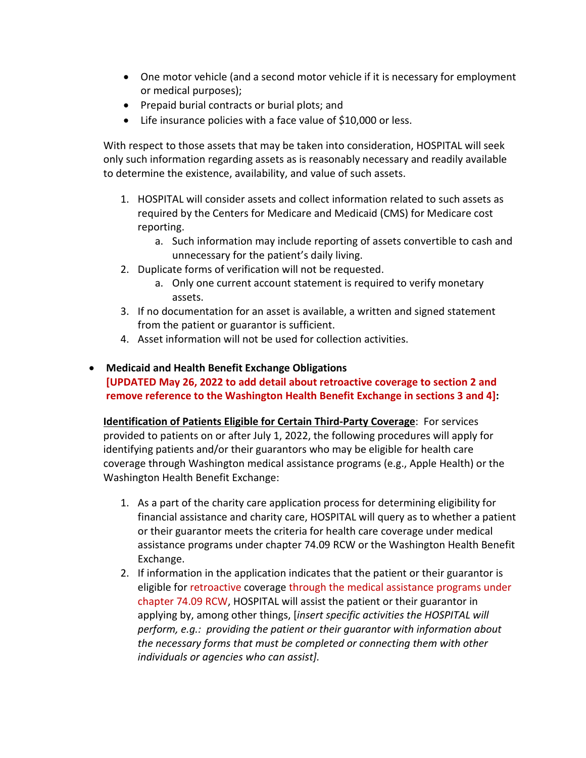- One motor vehicle (and a second motor vehicle if it is necessary for employment or medical purposes);
- Prepaid burial contracts or burial plots; and
- Life insurance policies with a face value of \$10,000 or less.

With respect to those assets that may be taken into consideration, HOSPITAL will seek only such information regarding assets as is reasonably necessary and readily available to determine the existence, availability, and value of such assets.

- 1. HOSPITAL will consider assets and collect information related to such assets as required by the Centers for Medicare and Medicaid (CMS) for Medicare cost reporting.
	- a. Such information may include reporting of assets convertible to cash and unnecessary for the patient's daily living.
- 2. Duplicate forms of verification will not be requested.
	- a. Only one current account statement is required to verify monetary assets.
- 3. If no documentation for an asset is available, a written and signed statement from the patient or guarantor is sufficient.
- 4. Asset information will not be used for collection activities.

## • **Medicaid and Health Benefit Exchange Obligations**

**[UPDATED May 26, 2022 to add detail about retroactive coverage to section 2 and remove reference to the Washington Health Benefit Exchange in sections 3 and 4]:** 

**Identification of Patients Eligible for Certain Third-Party Coverage**: For services provided to patients on or after July 1, 2022, the following procedures will apply for identifying patients and/or their guarantors who may be eligible for health care coverage through Washington medical assistance programs (e.g., Apple Health) or the Washington Health Benefit Exchange:

- 1. As a part of the charity care application process for determining eligibility for financial assistance and charity care, HOSPITAL will query as to whether a patient or their guarantor meets the criteria for health care coverage under medical assistance programs under chapter 74.09 RCW or the Washington Health Benefit Exchange.
- 2. If information in the application indicates that the patient or their guarantor is eligible for retroactive coverage through the medical assistance programs under chapter 74.09 RCW, HOSPITAL will assist the patient or their guarantor in applying by, among other things, [*insert specific activities the HOSPITAL will perform, e.g.: providing the patient or their guarantor with information about the necessary forms that must be completed or connecting them with other individuals or agencies who can assist].*